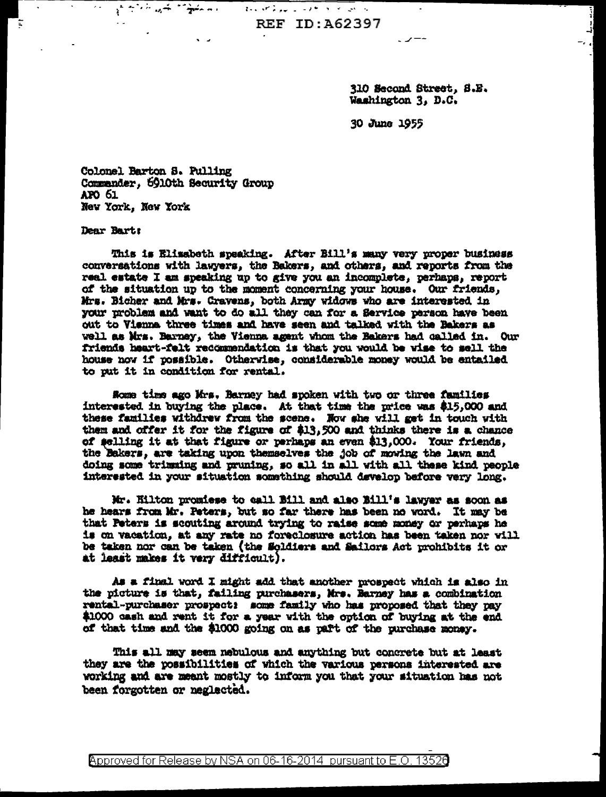**REF ID: A62397** 

 $\frac{1}{\sqrt{2}}\int_{0}^{2\pi} \frac{1}{\sqrt{2\pi}}\frac{1}{\sqrt{2\pi}}\int_{0}^{2\pi} \frac{1}{\sqrt{2\pi}}\frac{1}{\sqrt{2\pi}}\frac{1}{\sqrt{2\pi}}\frac{1}{\sqrt{2\pi}}\frac{1}{\sqrt{2\pi}}\frac{1}{\sqrt{2\pi}}\frac{1}{\sqrt{2\pi}}\frac{1}{\sqrt{2\pi}}\frac{1}{\sqrt{2\pi}}\frac{1}{\sqrt{2\pi}}\frac{1}{\sqrt{2\pi}}\frac{1}{\sqrt{2\pi}}\frac{1}{\sqrt{2\pi}}\frac{1}{\sqrt{2\$ 

310 Second Street, S.E. Washington 3, D.C.

30 June 1955

Colonel Barton S. Pulling Commander, 5910th Security Group AFO 61 New York, New York

a prince and the same

 $\sqrt{2}$ 

 $\sim 10^{-1}$ 

Dear Bart:

This is Elisabeth speaking. After Bill's many very proper business conversations with lawyers, the Bakers, and others, and reports from the real estate I am speaking up to give you an incomplete, perhaps, report of the situation up to the moment concerning your house. Our friends, Mrs. Bicher and Mrs. Cravens, both Army widows who are interested in your problem and want to do all they can for a Service person have been out to Vienna three times and have seen and talked with the Bakers as well as Mrs. Barney, the Vienna agent whom the Bakers had called in. Our friends heart-felt recommendation is that you would be wise to sell the house now if possible. Otherwise, considerable money would be entailed to put it in condition for rental.

Rome time ago Mrs. Barney had spoken with two or three families interested in buying the place. At that time the price was \$15,000 and these families withdrew from the scene. Now she will get in touch with them and offer it for the figure of \$13,500 and thinks there is a chance of selling it at that figure or perhaps an even \$13,000. Your friends, the Bakers, are taking upon themselves the job of moving the lawn and doing some trimming and pruning, so all in all with all these kind people interested in your situation something should develop before very long.

Mr. Hilton promiese to call Bill and also Bill's lawyer as soon as he hears from Mr. Peters, but so far there has been no word. It may be that Peters is scouting around trying to raise some money or perhaps he is on vacation, at any rate no foreclosure action has been taken nor will be taken nor can be taken (the Soldiers and Sailors Act prohibits it or at least makes it very difficult).

As a final word I might add that another prospect which is also in the picture is that, failing purchasers, Mrs. Barney has a combination rental-purchaser prospect: some family who has proposed that they pay \$1000 cash and rent it for a year with the option of buying at the end of that time and the \$1000 going on as part of the purchase money.

This all may seem nebulous and anything but concrete but at least they are the possibilities of which the various persons interested are working and are meant mostly to inform you that your situation has not been forgotten or neglected.

Approved for Release by NSA on 06-16-2014 pursuant to E.O. 13526